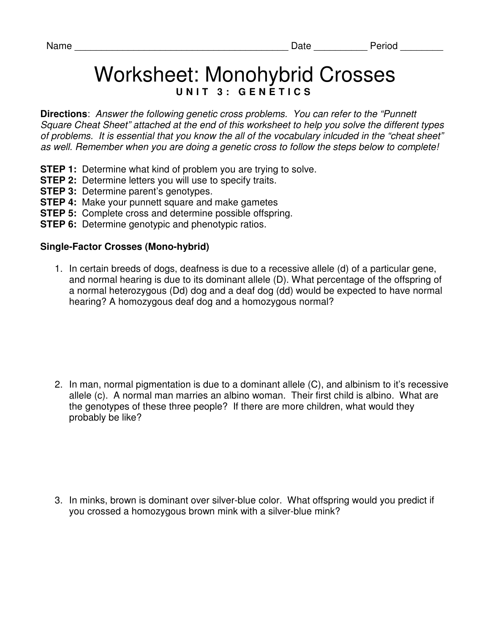## Worksheet: Monohybrid Crosses UNIT 3: GENETICS

**Directions**: Answer the following genetic cross problems. You can refer to the "Punnett Square Cheat Sheet" attached at the end of this worksheet to help you solve the different types of problems. It is essential that you know the all of the vocabulary inlcuded in the "cheat sheet" as well. Remember when you are doing a genetic cross to follow the steps below to complete!

- **STEP 1:** Determine what kind of problem you are trying to solve.
- **STEP 2:** Determine letters you will use to specify traits.
- **STEP 3: Determine parent's genotypes.**
- **STEP 4:** Make your punnett square and make gametes
- **STEP 5:** Complete cross and determine possible offspring.
- **STEP 6:** Determine genotypic and phenotypic ratios.

## **Single-Factor Crosses (Mono-hybrid)**

1. In certain breeds of dogs, deafness is due to a recessive allele (d) of a particular gene, and normal hearing is due to its dominant allele (D). What percentage of the offspring of a normal heterozygous (Dd) dog and a deaf dog (dd) would be expected to have normal hearing? A homozygous deaf dog and a homozygous normal?

2. In man, normal pigmentation is due to a dominant allele (C), and albinism to it's recessive allele (c). A normal man marries an albino woman. Their first child is albino. What are the genotypes of these three people? If there are more children, what would they probably be like?

3. In minks, brown is dominant over silver-blue color. What offspring would you predict if you crossed a homozygous brown mink with a silver-blue mink?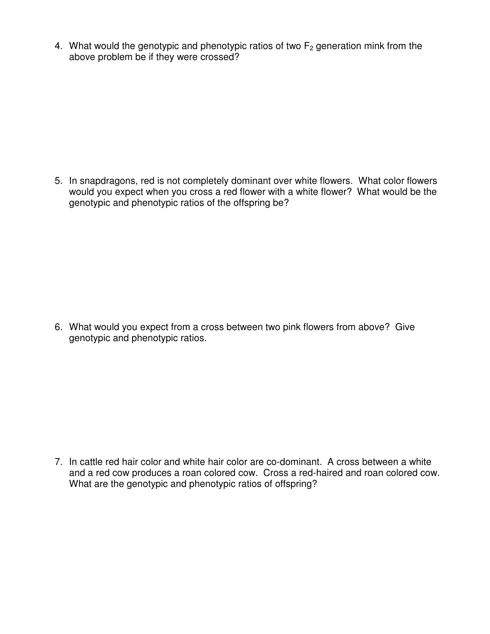4. What would the genotypic and phenotypic ratios of two  $F_2$  generation mink from the above problem be if they were crossed?

5. In snapdragons, red is not completely dominant over white flowers. What color flowers would you expect when you cross a red flower with a white flower? What would be the genotypic and phenotypic ratios of the offspring be?

6. What would you expect from a cross between two pink flowers from above? Give genotypic and phenotypic ratios.

7. In cattle red hair color and white hair color are co-dominant. A cross between a white and a red cow produces a roan colored cow. Cross a red-haired and roan colored cow. What are the genotypic and phenotypic ratios of offspring?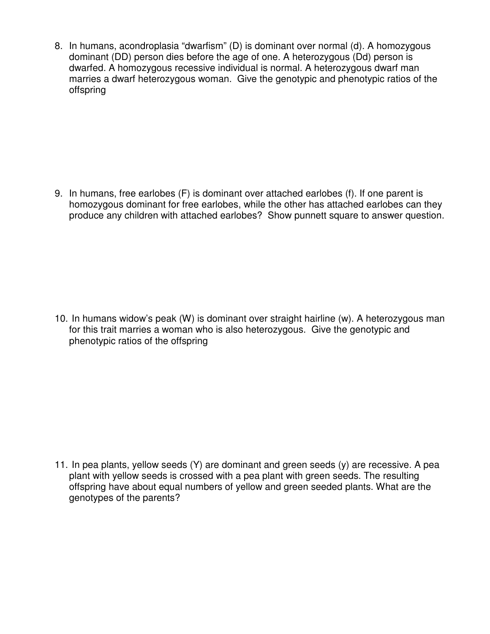8. In humans, acondroplasia "dwarfism" (D) is dominant over normal (d). A homozygous dominant (DD) person dies before the age of one. A heterozygous (Dd) person is dwarfed. A homozygous recessive individual is normal. A heterozygous dwarf man marries a dwarf heterozygous woman. Give the genotypic and phenotypic ratios of the offspring

9. In humans, free earlobes (F) is dominant over attached earlobes (f). If one parent is homozygous dominant for free earlobes, while the other has attached earlobes can they produce any children with attached earlobes? Show punnett square to answer question.

10. In humans widow's peak (W) is dominant over straight hairline (w). A heterozygous man for this trait marries a woman who is also heterozygous. Give the genotypic and phenotypic ratios of the offspring

11. In pea plants, yellow seeds (Y) are dominant and green seeds (y) are recessive. A pea plant with yellow seeds is crossed with a pea plant with green seeds. The resulting offspring have about equal numbers of yellow and green seeded plants. What are the genotypes of the parents?